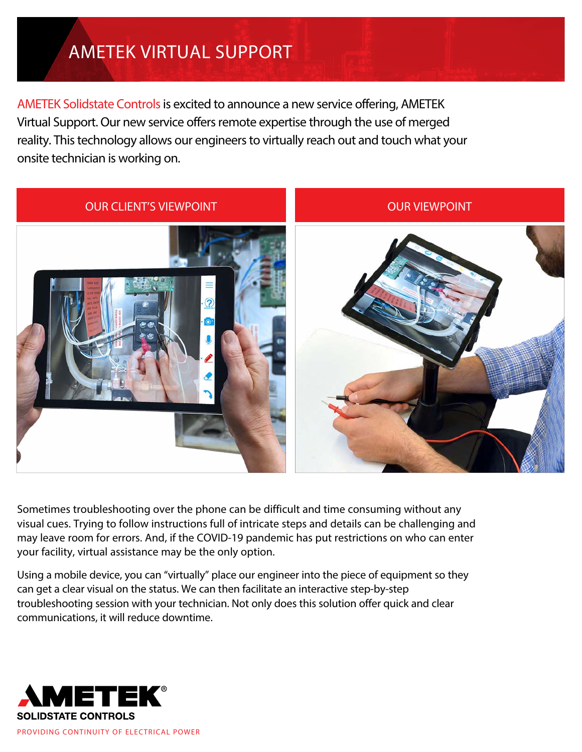## AMETEK VIRTUAL SUPPORT

AMETEK Solidstate Controls is excited to announce a new service offering, AMETEK Virtual Support. Our new service offers remote expertise through the use of merged reality. This technology allows our engineers to virtually reach out and touch what your onsite technician is working on.



Sometimes troubleshooting over the phone can be difficult and time consuming without any visual cues. Trying to follow instructions full of intricate steps and details can be challenging and may leave room for errors. And, if the COVID-19 pandemic has put restrictions on who can enter your facility, virtual assistance may be the only option.

Using a mobile device, you can "virtually" place our engineer into the piece of equipment so they can get a clear visual on the status. We can then facilitate an interactive step-by-step troubleshooting session with your technician. Not only does this solution offer quick and clear communications, it will reduce downtime.